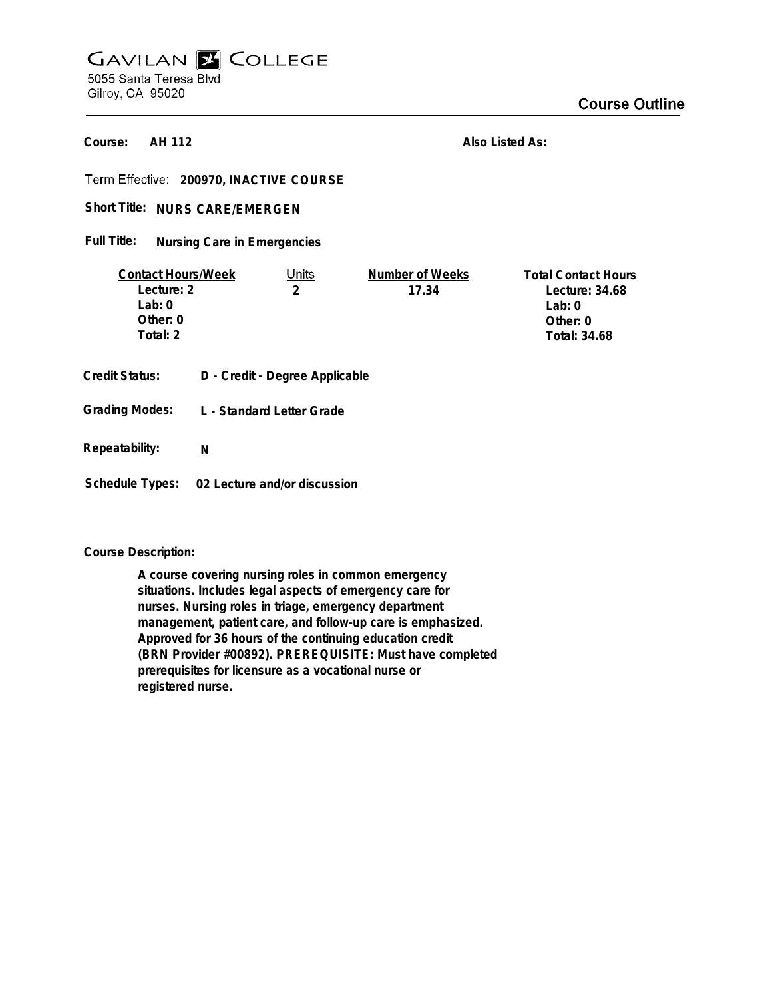# **GAVILAN E COLLEGE** 5055 Santa Teresa Blvd Gilroy, CA 95020

**AH 112 Course:**

**Also Listed As:**

**200970, INACTIVE COURSE**

Short Title: NURS CARE/EMERGEN

**Nursing Care in Emergencies Full Title:**

| <b>Contact Hours/Week</b> |                                | Units | Number of Weeks | <b>Total Contact Hours</b> |
|---------------------------|--------------------------------|-------|-----------------|----------------------------|
| Lecture: 2                |                                | 2     | 17.34           | Lecture: 34.68             |
| Lab: $0$                  |                                |       |                 | Lab: $0$                   |
| Other: $0$                |                                |       |                 | Other: 0                   |
| Total: 2                  |                                |       |                 | Total: 34.68               |
|                           |                                |       |                 |                            |
| Credit Status:            | D - Credit - Degree Applicable |       |                 |                            |
|                           |                                |       |                 |                            |
| <b>Grading Modes:</b>     | L - Standard Letter Grade      |       |                 |                            |
|                           |                                |       |                 |                            |

**Repeatability: N**

**Schedule Types: 02 Lecture and/or discussion**

**Course Description:**

**A course covering nursing roles in common emergency situations. Includes legal aspects of emergency care for nurses. Nursing roles in triage, emergency department management, patient care, and follow-up care is emphasized. Approved for 36 hours of the continuing education credit (BRN Provider #00892). PREREQUISITE: Must have completed prerequisites for licensure as a vocational nurse or registered nurse.**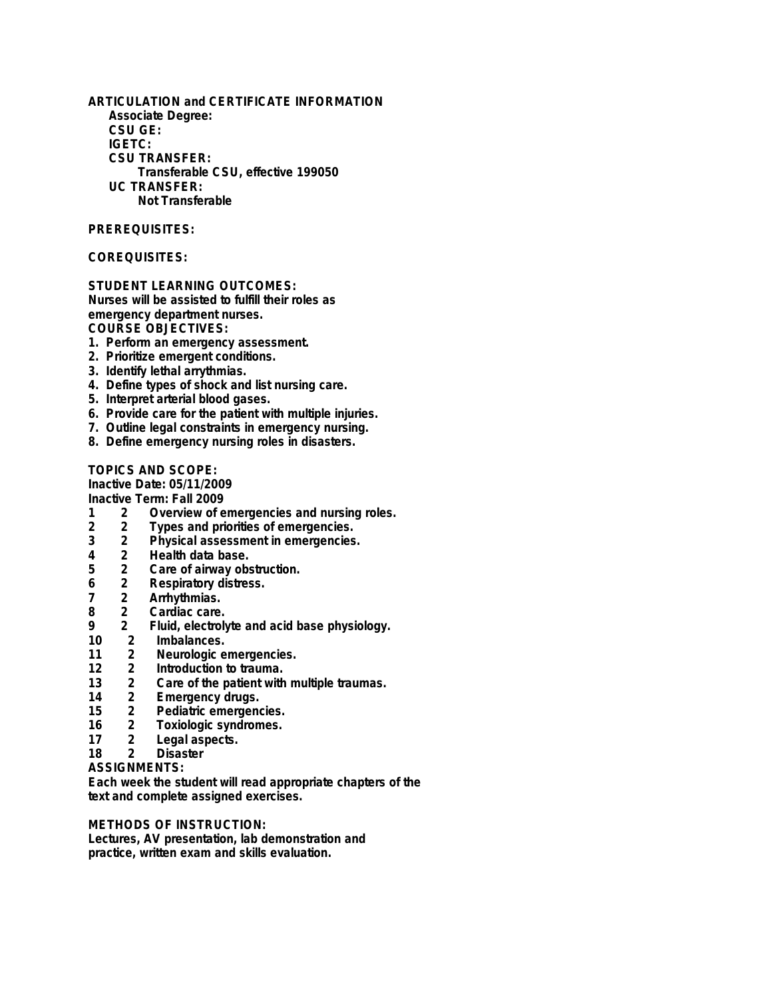**ARTICULATION and CERTIFICATE INFORMATION Associate Degree: CSU GE: IGETC: CSU TRANSFER: Transferable CSU, effective 199050 UC TRANSFER: Not Transferable**

#### **PREREQUISITES:**

## **COREQUISITES:**

#### **STUDENT LEARNING OUTCOMES:**

**Nurses will be assisted to fulfill their roles as emergency department nurses.**

**COURSE OBJECTIVES:**

- **1. Perform an emergency assessment.**
- **2. Prioritize emergent conditions.**
- **3. Identify lethal arrythmias.**
- **4. Define types of shock and list nursing care.**
- **5. Interpret arterial blood gases.**
- **6. Provide care for the patient with multiple injuries.**
- **7. Outline legal constraints in emergency nursing.**
- **8. Define emergency nursing roles in disasters.**

**TOPICS AND SCOPE:**

**Inactive Date: 05/11/2009**

**Inactive Term: Fall 2009**

- **1 2 Overview of emergencies and nursing roles.**
- **2 2 Types and priorities of emergencies.**
- **3 2 Physical assessment in emergencies.**
- **4 2 Health data base.**
- **5 2 Care of airway obstruction.**
- **6 2 Respiratory distress.**
- **7 2 Arrhythmias.**
- **8 2 Cardiac care.**
- **9 2 Fluid, electrolyte and acid base physiology.**
- 2 Imbalances.<br>2 Neurologic e
- **11 2 Neurologic emergencies.**
- **12 2 Introduction to trauma.**
- **13 2 Care of the patient with multiple traumas.**
- **14 2 Emergency drugs.**
- 2 Pediatric emergencies.<br>2 Toxiologic syndromes.
- **16 2 Toxiologic syndromes.**
- **17 2 Legal aspects.**
- **Disaster**

**ASSIGNMENTS:**

**Each week the student will read appropriate chapters of the text and complete assigned exercises.**

## **METHODS OF INSTRUCTION:**

**Lectures, AV presentation, lab demonstration and practice, written exam and skills evaluation.**